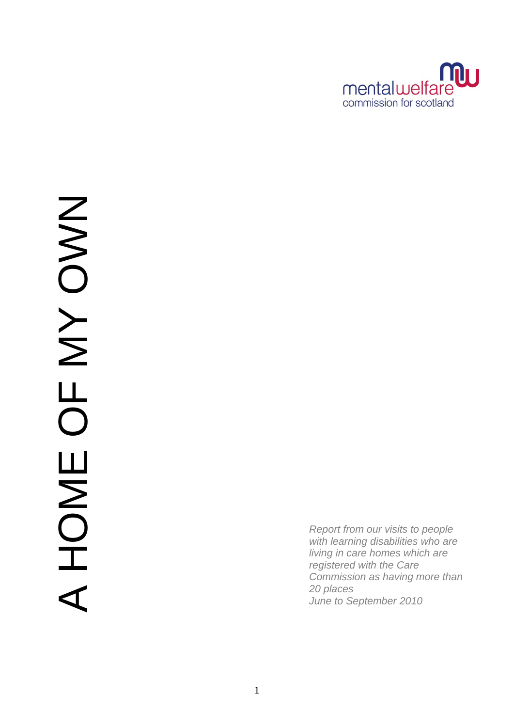

*Report from our visits to people with learning disabilities who are living in care homes which are registered with the Care Commission as having more than 20 places June to September 2010*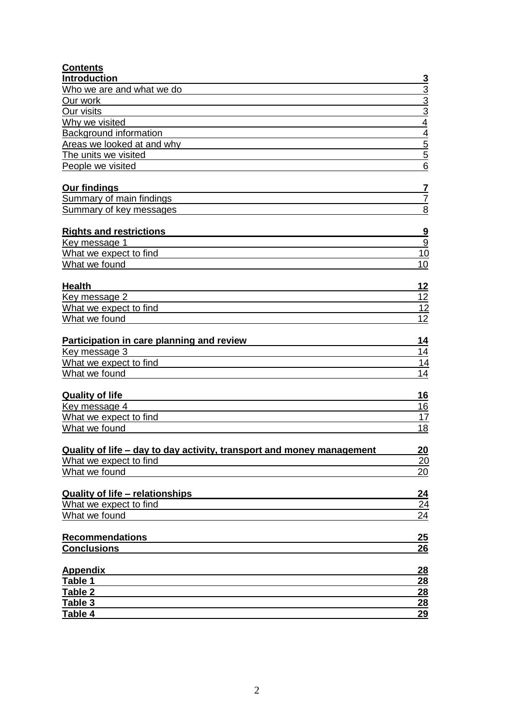| <b>Contents</b>                                                       |                         |
|-----------------------------------------------------------------------|-------------------------|
| <b>Introduction</b>                                                   | <u>3</u>                |
| Who we are and what we do                                             |                         |
| Our work                                                              |                         |
| Our visits                                                            | $\frac{3}{3}$           |
| Why we visited                                                        | $\overline{4}$          |
| <b>Background information</b>                                         | $\overline{4}$          |
| Areas we looked at and why                                            |                         |
| The units we visited                                                  | $\frac{5}{5}$           |
| People we visited                                                     | $\overline{6}$          |
| <b>Our findings</b>                                                   | $\overline{\mathbf{r}}$ |
| Summary of main findings                                              | 7                       |
| Summary of key messages                                               | 8                       |
| <b>Rights and restrictions</b>                                        | $\overline{\mathbf{g}}$ |
| Key message 1                                                         | $\overline{9}$          |
| What we expect to find                                                | 10                      |
| What we found                                                         | 10                      |
| <b>Health</b>                                                         | 12                      |
| Key message 2                                                         | 12                      |
| What we expect to find                                                | 12                      |
| What we found                                                         | 12                      |
| Participation in care planning and review                             | 14                      |
| Key message 3                                                         | 14                      |
| What we expect to find                                                | 14                      |
| What we found                                                         | 14                      |
| <b>Quality of life</b>                                                | 16                      |
| Key message 4                                                         | <u>16</u>               |
| What we expect to find                                                | 17                      |
| What we found                                                         | 18                      |
| Quality of life - day to day activity, transport and money management | $\overline{20}$         |
| What we expect to find                                                | 20                      |
| What we found                                                         | 20                      |
|                                                                       |                         |
| <b>Quality of life - relationships</b>                                | <u>24</u>               |
| What we expect to find                                                | 24                      |
| What we found                                                         | 24                      |
| <b>Recommendations</b>                                                | 25                      |
| <b>Conclusions</b>                                                    | 26                      |
|                                                                       |                         |
| <b>Appendix</b>                                                       | 28                      |
| Table 1                                                               | 28                      |
| Table 2                                                               | <b>28</b>               |
| Table 3<br>Table 4                                                    | 28<br>29                |
|                                                                       |                         |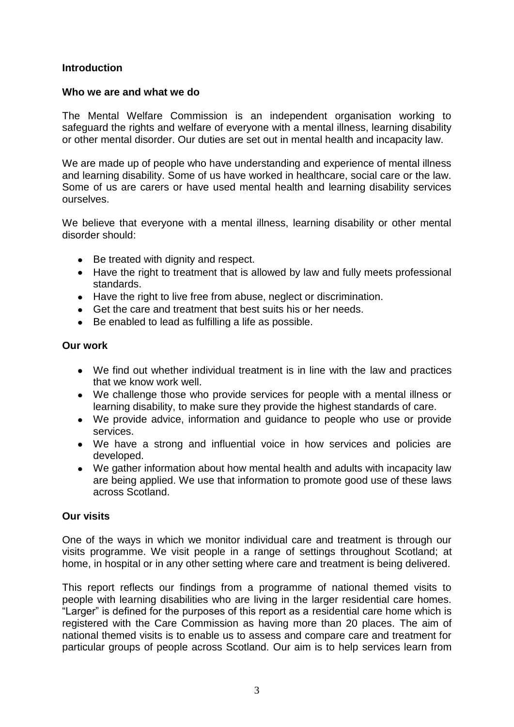## <span id="page-2-0"></span>**Introduction**

## <span id="page-2-1"></span>**Who we are and what we do**

The Mental Welfare Commission is an independent organisation working to safeguard the rights and welfare of everyone with a mental illness, learning disability or other mental disorder. Our duties are set out in mental health and incapacity law.

We are made up of people who have understanding and experience of mental illness and learning disability. Some of us have worked in healthcare, social care or the law. Some of us are carers or have used mental health and learning disability services ourselves.

We believe that everyone with a mental illness, learning disability or other mental disorder should:

- Be treated with dignity and respect.
- Have the right to treatment that is allowed by law and fully meets professional standards.
- Have the right to live free from abuse, neglect or discrimination.
- Get the care and treatment that best suits his or her needs.
- Be enabled to lead as fulfilling a life as possible.

## <span id="page-2-2"></span>**Our work**

- We find out whether individual treatment is in line with the law and practices that we know work well.
- We challenge those who provide services for people with a mental illness or learning disability, to make sure they provide the highest standards of care.
- We provide advice, information and guidance to people who use or provide services.
- We have a strong and influential voice in how services and policies are developed.
- We gather information about how mental health and adults with incapacity law are being applied. We use that information to promote good use of these laws across Scotland.

## <span id="page-2-3"></span>**Our visits**

One of the ways in which we monitor individual care and treatment is through our visits programme. We visit people in a range of settings throughout Scotland; at home, in hospital or in any other setting where care and treatment is being delivered.

This report reflects our findings from a programme of national themed visits to people with learning disabilities who are living in the larger residential care homes. "Larger" is defined for the purposes of this report as a residential care home which is registered with the Care Commission as having more than 20 places. The aim of national themed visits is to enable us to assess and compare care and treatment for particular groups of people across Scotland. Our aim is to help services learn from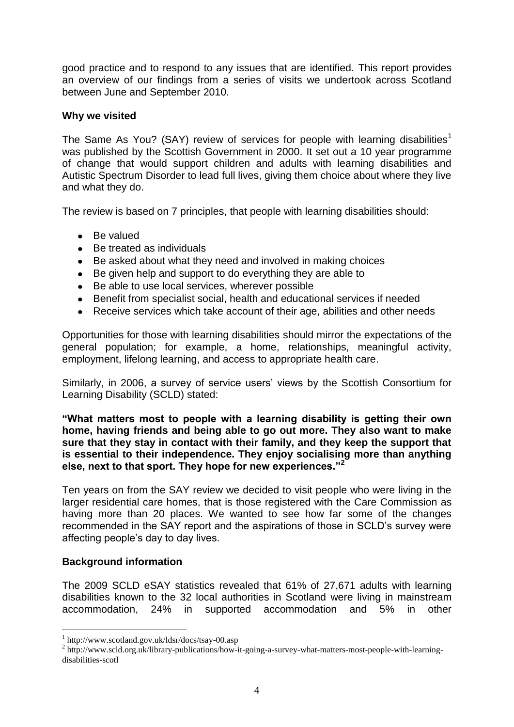good practice and to respond to any issues that are identified. This report provides an overview of our findings from a series of visits we undertook across Scotland between June and September 2010.

## <span id="page-3-1"></span><span id="page-3-0"></span>**Why we visited**

The Same As You? (SAY) review of services for people with learning disabilities<sup>1</sup> was published by the Scottish Government in 2000. It set out a 10 year programme of change that would support children and adults with learning disabilities and Autistic Spectrum Disorder to lead full lives, giving them choice about where they live and what they do.

The review is based on 7 principles, that people with learning disabilities should:

- Be valued  $\bullet$
- Be treated as individuals  $\bullet$
- Be asked about what they need and involved in making choices  $\bullet$
- Be given help and support to do everything they are able to  $\bullet$
- Be able to use local services, wherever possible
- Benefit from specialist social, health and educational services if needed
- Receive services which take account of their age, abilities and other needs  $\bullet$

Opportunities for those with learning disabilities should mirror the expectations of the general population; for example, a home, relationships, meaningful activity, employment, lifelong learning, and access to appropriate health care.

Similarly, in 2006, a survey of service users" views by the Scottish Consortium for Learning Disability (SCLD) stated:

#### **"What matters most to people with a learning disability is getting their own home, having friends and being able to go out more. They also want to make sure that they stay in contact with their family, and they keep the support that is essential to their independence. They enjoy socialising more than anything else, next to that sport. They hope for new experiences."<sup>2</sup>**

Ten years on from the SAY review we decided to visit people who were living in the larger residential care homes, that is those registered with the Care Commission as having more than 20 places. We wanted to see how far some of the changes recommended in the SAY report and the aspirations of those in SCLD"s survey were affecting people"s day to day lives.

## **Background information**

<u>.</u>

The 2009 SCLD eSAY statistics revealed that 61% of 27,671 adults with learning disabilities known to the 32 local authorities in Scotland were living in mainstream accommodation, 24% in supported accommodation and 5% in other

<sup>1</sup> http://www.scotland.gov.uk/ldsr/docs/tsay-00.asp

<sup>&</sup>lt;sup>2</sup> http://www.scld.org.uk/library-publications/how-it-going-a-survey-what-matters-most-people-with-learningdisabilities-scotl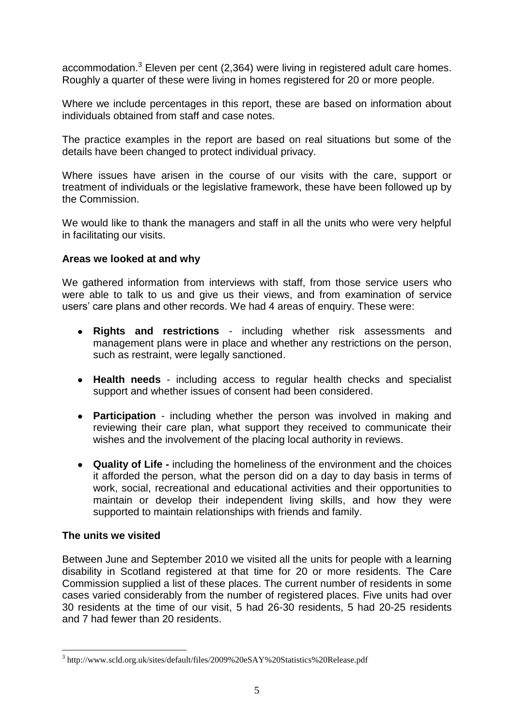accommodation.<sup>3</sup> Eleven per cent (2,364) were living in registered adult care homes. Roughly a quarter of these were living in homes registered for 20 or more people.

Where we include percentages in this report, these are based on information about individuals obtained from staff and case notes.

The practice examples in the report are based on real situations but some of the details have been changed to protect individual privacy.

Where issues have arisen in the course of our visits with the care, support or treatment of individuals or the legislative framework, these have been followed up by the Commission.

We would like to thank the managers and staff in all the units who were very helpful in facilitating our visits.

## **Areas we looked at and why**

We gathered information from interviews with staff, from those service users who were able to talk to us and give us their views, and from examination of service users' care plans and other records. We had 4 areas of enquiry. These were:

- **Rights and restrictions** including whether risk assessments and  $\bullet$ management plans were in place and whether any restrictions on the person, such as restraint, were legally sanctioned.
- **Health needs** including access to regular health checks and specialist support and whether issues of consent had been considered.
- **Participation** including whether the person was involved in making and reviewing their care plan, what support they received to communicate their wishes and the involvement of the placing local authority in reviews.
- **Quality of Life -** including the homeliness of the environment and the choices it afforded the person, what the person did on a day to day basis in terms of work, social, recreational and educational activities and their opportunities to maintain or develop their independent living skills, and how they were supported to maintain relationships with friends and family.

## **The units we visited**

1

Between June and September 2010 we visited all the units for people with a learning disability in Scotland registered at that time for 20 or more residents. The Care Commission supplied a list of these places. The current number of residents in some cases varied considerably from the number of registered places. Five units had over 30 residents at the time of our visit, 5 had 26-30 residents, 5 had 20-25 residents and 7 had fewer than 20 residents.

<sup>&</sup>lt;sup>3</sup> http://www.scld.org.uk/sites/default/files/2009%20eSAY%20Statistics%20Release.pdf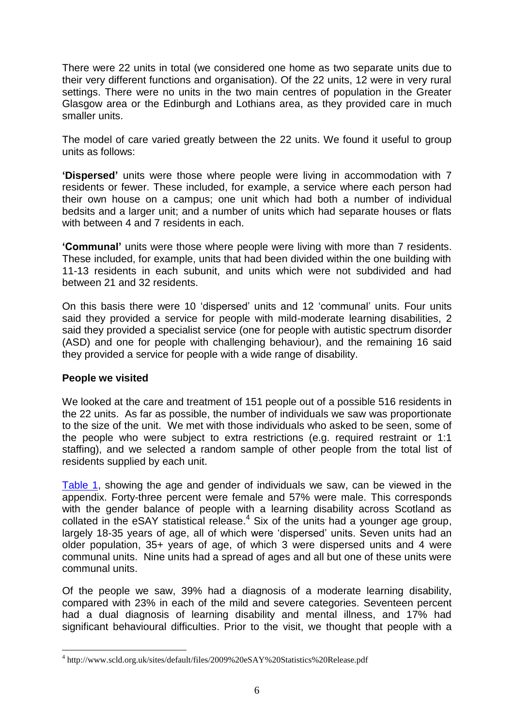There were 22 units in total (we considered one home as two separate units due to their very different functions and organisation). Of the 22 units, 12 were in very rural settings. There were no units in the two main centres of population in the Greater Glasgow area or the Edinburgh and Lothians area, as they provided care in much smaller units.

The model of care varied greatly between the 22 units. We found it useful to group units as follows:

**"Dispersed"** units were those where people were living in accommodation with 7 residents or fewer. These included, for example, a service where each person had their own house on a campus; one unit which had both a number of individual bedsits and a larger unit; and a number of units which had separate houses or flats with between 4 and 7 residents in each.

**"Communal"** units were those where people were living with more than 7 residents. These included, for example, units that had been divided within the one building with 11-13 residents in each subunit, and units which were not subdivided and had between 21 and 32 residents.

On this basis there were 10 "dispersed" units and 12 "communal" units. Four units said they provided a service for people with mild-moderate learning disabilities, 2 said they provided a specialist service (one for people with autistic spectrum disorder (ASD) and one for people with challenging behaviour), and the remaining 16 said they provided a service for people with a wide range of disability.

## **People we visited**

1

We looked at the care and treatment of 151 people out of a possible 516 residents in the 22 units. As far as possible, the number of individuals we saw was proportionate to the size of the unit. We met with those individuals who asked to be seen, some of the people who were subject to extra restrictions (e.g. required restraint or 1:1 staffing), and we selected a random sample of other people from the total list of residents supplied by each unit.

[Table 1,](#page-27-0) showing the age and gender of individuals we saw, can be viewed in the appendix. Forty-three percent were female and 57% were male. This corresponds with the gender balance of people with a learning disability across Scotland as collated in the eSAY statistical release. $4$  Six of the units had a younger age group, largely 18-35 years of age, all of which were "dispersed" units. Seven units had an older population, 35+ years of age, of which 3 were dispersed units and 4 were communal units. Nine units had a spread of ages and all but one of these units were communal units.

Of the people we saw, 39% had a diagnosis of a moderate learning disability, compared with 23% in each of the mild and severe categories. Seventeen percent had a dual diagnosis of learning disability and mental illness, and 17% had significant behavioural difficulties. Prior to the visit, we thought that people with a

<sup>4</sup> http://www.scld.org.uk/sites/default/files/2009%20eSAY%20Statistics%20Release.pdf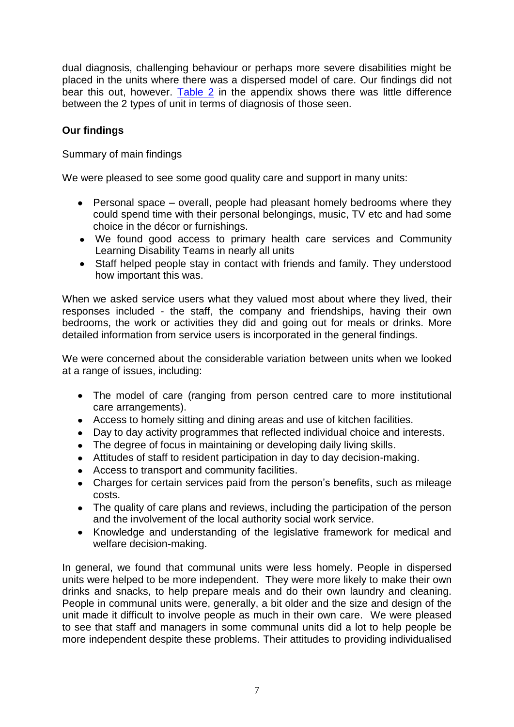dual diagnosis, challenging behaviour or perhaps more severe disabilities might be placed in the units where there was a dispersed model of care. Our findings did not bear this out, however. [Table 2](#page-27-1) in the appendix shows there was little difference between the 2 types of unit in terms of diagnosis of those seen.

## <span id="page-6-0"></span>**Our findings**

Summary of main findings

We were pleased to see some good quality care and support in many units:

- Personal space overall, people had pleasant homely bedrooms where they could spend time with their personal belongings, music, TV etc and had some choice in the décor or furnishings.
- We found good access to primary health care services and Community Learning Disability Teams in nearly all units
- Staff helped people stay in contact with friends and family. They understood how important this was.

When we asked service users what they valued most about where they lived, their responses included - the staff, the company and friendships, having their own bedrooms, the work or activities they did and going out for meals or drinks. More detailed information from service users is incorporated in the general findings.

We were concerned about the considerable variation between units when we looked at a range of issues, including:

- The model of care (ranging from person centred care to more institutional care arrangements).
- Access to homely sitting and dining areas and use of kitchen facilities.
- Day to day activity programmes that reflected individual choice and interests.
- The degree of focus in maintaining or developing daily living skills.
- Attitudes of staff to resident participation in day to day decision-making.
- Access to transport and community facilities.
- Charges for certain services paid from the person's benefits, such as mileage costs.
- The quality of care plans and reviews, including the participation of the person and the involvement of the local authority social work service.
- Knowledge and understanding of the legislative framework for medical and welfare decision-making.

In general, we found that communal units were less homely. People in dispersed units were helped to be more independent. They were more likely to make their own drinks and snacks, to help prepare meals and do their own laundry and cleaning. People in communal units were, generally, a bit older and the size and design of the unit made it difficult to involve people as much in their own care. We were pleased to see that staff and managers in some communal units did a lot to help people be more independent despite these problems. Their attitudes to providing individualised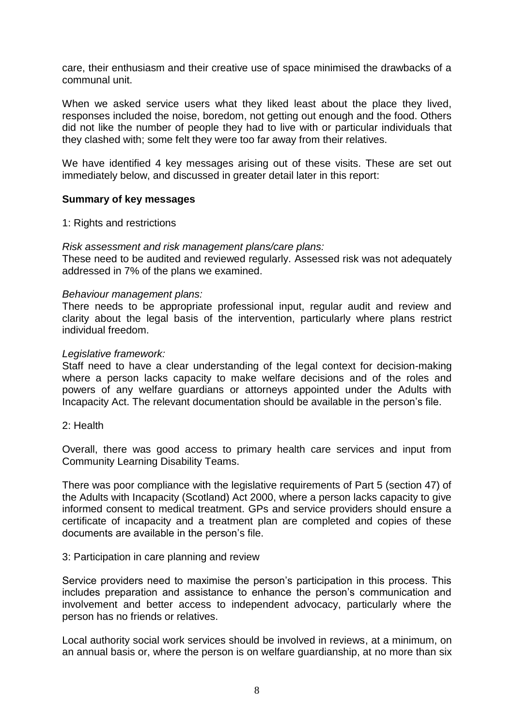care, their enthusiasm and their creative use of space minimised the drawbacks of a communal unit.

When we asked service users what they liked least about the place they lived, responses included the noise, boredom, not getting out enough and the food. Others did not like the number of people they had to live with or particular individuals that they clashed with; some felt they were too far away from their relatives.

We have identified 4 key messages arising out of these visits. These are set out immediately below, and discussed in greater detail later in this report:

#### **Summary of key messages**

#### 1: Rights and restrictions

#### *Risk assessment and risk management plans/care plans:*

These need to be audited and reviewed regularly. Assessed risk was not adequately addressed in 7% of the plans we examined.

#### *Behaviour management plans:*

There needs to be appropriate professional input, regular audit and review and clarity about the legal basis of the intervention, particularly where plans restrict individual freedom.

#### *Legislative framework:*

Staff need to have a clear understanding of the legal context for decision-making where a person lacks capacity to make welfare decisions and of the roles and powers of any welfare guardians or attorneys appointed under the Adults with Incapacity Act. The relevant documentation should be available in the person"s file.

#### 2: Health

Overall, there was good access to primary health care services and input from Community Learning Disability Teams.

There was poor compliance with the legislative requirements of Part 5 (section 47) of the Adults with Incapacity (Scotland) Act 2000, where a person lacks capacity to give informed consent to medical treatment. GPs and service providers should ensure a certificate of incapacity and a treatment plan are completed and copies of these documents are available in the person's file.

#### 3: Participation in care planning and review

Service providers need to maximise the person's participation in this process. This includes preparation and assistance to enhance the person"s communication and involvement and better access to independent advocacy, particularly where the person has no friends or relatives.

Local authority social work services should be involved in reviews, at a minimum, on an annual basis or, where the person is on welfare guardianship, at no more than six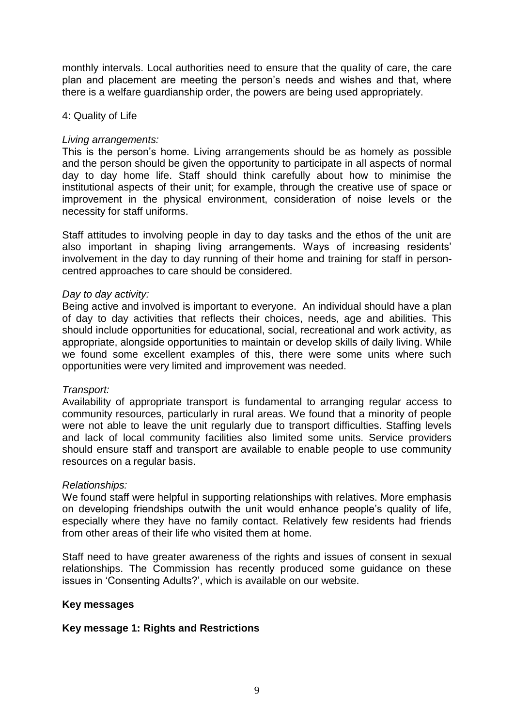monthly intervals. Local authorities need to ensure that the quality of care, the care plan and placement are meeting the person's needs and wishes and that, where there is a welfare guardianship order, the powers are being used appropriately.

#### 4: Quality of Life

#### *Living arrangements:*

This is the person"s home. Living arrangements should be as homely as possible and the person should be given the opportunity to participate in all aspects of normal day to day home life. Staff should think carefully about how to minimise the institutional aspects of their unit; for example, through the creative use of space or improvement in the physical environment, consideration of noise levels or the necessity for staff uniforms.

Staff attitudes to involving people in day to day tasks and the ethos of the unit are also important in shaping living arrangements. Ways of increasing residents" involvement in the day to day running of their home and training for staff in personcentred approaches to care should be considered.

#### *Day to day activity:*

Being active and involved is important to everyone. An individual should have a plan of day to day activities that reflects their choices, needs, age and abilities. This should include opportunities for educational, social, recreational and work activity, as appropriate, alongside opportunities to maintain or develop skills of daily living. While we found some excellent examples of this, there were some units where such opportunities were very limited and improvement was needed.

#### *Transport:*

Availability of appropriate transport is fundamental to arranging regular access to community resources, particularly in rural areas. We found that a minority of people were not able to leave the unit regularly due to transport difficulties. Staffing levels and lack of local community facilities also limited some units. Service providers should ensure staff and transport are available to enable people to use community resources on a regular basis.

#### *Relationships:*

We found staff were helpful in supporting relationships with relatives. More emphasis on developing friendships outwith the unit would enhance people"s quality of life, especially where they have no family contact. Relatively few residents had friends from other areas of their life who visited them at home.

Staff need to have greater awareness of the rights and issues of consent in sexual relationships. The Commission has recently produced some guidance on these issues in "Consenting Adults?", which is available on our website.

#### **Key messages**

## **Key message 1: Rights and Restrictions**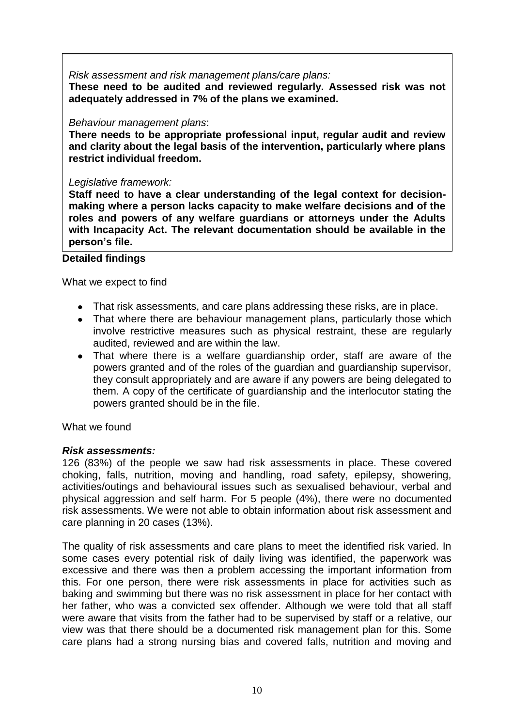*Risk assessment and risk management plans/care plans:*

**These need to be audited and reviewed regularly. Assessed risk was not adequately addressed in 7% of the plans we examined.**

## *Behaviour management plans*:

**There needs to be appropriate professional input, regular audit and review and clarity about the legal basis of the intervention, particularly where plans restrict individual freedom.** 

#### *Legislative framework:*

**Staff need to have a clear understanding of the legal context for decisionmaking where a person lacks capacity to make welfare decisions and of the roles and powers of any welfare guardians or attorneys under the Adults with Incapacity Act. The relevant documentation should be available in the person"s file.** 

## **Detailed findings**

What we expect to find

- That risk assessments, and care plans addressing these risks, are in place.
- That where there are behaviour management plans, particularly those which involve restrictive measures such as physical restraint, these are regularly audited, reviewed and are within the law.
- That where there is a welfare guardianship order, staff are aware of the powers granted and of the roles of the guardian and guardianship supervisor, they consult appropriately and are aware if any powers are being delegated to them. A copy of the certificate of guardianship and the interlocutor stating the powers granted should be in the file.

What we found

## *Risk assessments:*

126 (83%) of the people we saw had risk assessments in place. These covered choking, falls, nutrition, moving and handling, road safety, epilepsy, showering, activities/outings and behavioural issues such as sexualised behaviour, verbal and physical aggression and self harm. For 5 people (4%), there were no documented risk assessments. We were not able to obtain information about risk assessment and care planning in 20 cases (13%).

The quality of risk assessments and care plans to meet the identified risk varied. In some cases every potential risk of daily living was identified, the paperwork was excessive and there was then a problem accessing the important information from this. For one person, there were risk assessments in place for activities such as baking and swimming but there was no risk assessment in place for her contact with her father, who was a convicted sex offender. Although we were told that all staff were aware that visits from the father had to be supervised by staff or a relative, our view was that there should be a documented risk management plan for this. Some care plans had a strong nursing bias and covered falls, nutrition and moving and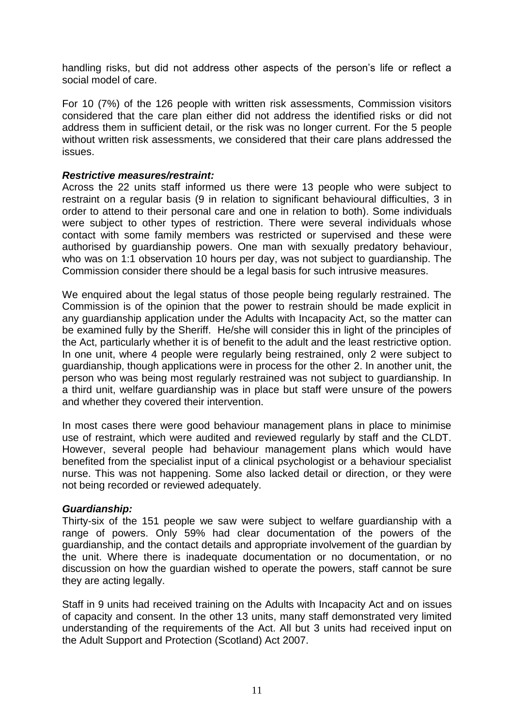handling risks, but did not address other aspects of the person's life or reflect a social model of care.

For 10 (7%) of the 126 people with written risk assessments, Commission visitors considered that the care plan either did not address the identified risks or did not address them in sufficient detail, or the risk was no longer current. For the 5 people without written risk assessments, we considered that their care plans addressed the issues.

#### *Restrictive measures/restraint:*

Across the 22 units staff informed us there were 13 people who were subject to restraint on a regular basis (9 in relation to significant behavioural difficulties, 3 in order to attend to their personal care and one in relation to both). Some individuals were subject to other types of restriction. There were several individuals whose contact with some family members was restricted or supervised and these were authorised by guardianship powers. One man with sexually predatory behaviour, who was on 1:1 observation 10 hours per day, was not subject to guardianship. The Commission consider there should be a legal basis for such intrusive measures.

We enquired about the legal status of those people being regularly restrained. The Commission is of the opinion that the power to restrain should be made explicit in any guardianship application under the Adults with Incapacity Act, so the matter can be examined fully by the Sheriff. He/she will consider this in light of the principles of the Act, particularly whether it is of benefit to the adult and the least restrictive option. In one unit, where 4 people were regularly being restrained, only 2 were subject to guardianship, though applications were in process for the other 2. In another unit, the person who was being most regularly restrained was not subject to guardianship. In a third unit, welfare guardianship was in place but staff were unsure of the powers and whether they covered their intervention.

In most cases there were good behaviour management plans in place to minimise use of restraint, which were audited and reviewed regularly by staff and the CLDT. However, several people had behaviour management plans which would have benefited from the specialist input of a clinical psychologist or a behaviour specialist nurse. This was not happening. Some also lacked detail or direction, or they were not being recorded or reviewed adequately.

#### *Guardianship:*

Thirty-six of the 151 people we saw were subject to welfare guardianship with a range of powers. Only 59% had clear documentation of the powers of the guardianship, and the contact details and appropriate involvement of the guardian by the unit. Where there is inadequate documentation or no documentation, or no discussion on how the guardian wished to operate the powers, staff cannot be sure they are acting legally.

Staff in 9 units had received training on the Adults with Incapacity Act and on issues of capacity and consent. In the other 13 units, many staff demonstrated very limited understanding of the requirements of the Act. All but 3 units had received input on the Adult Support and Protection (Scotland) Act 2007.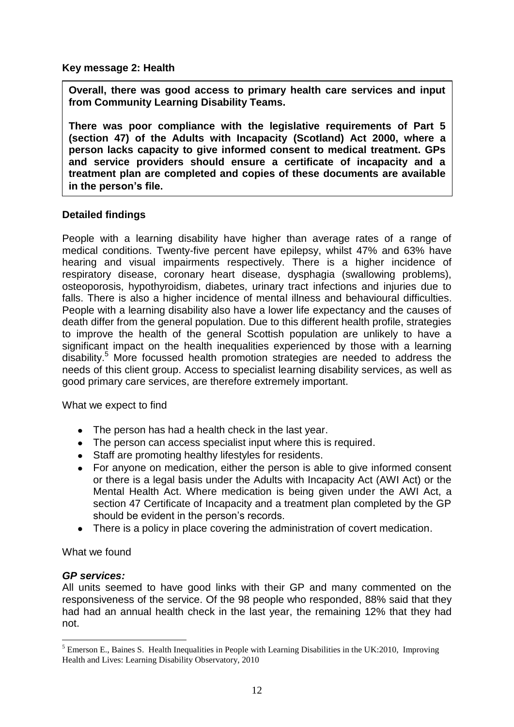**Key message 2: Health**

**Overall, there was good access to primary health care services and input from Community Learning Disability Teams.**

**There was poor compliance with the legislative requirements of Part 5 (section 47) of the Adults with Incapacity (Scotland) Act 2000, where a person lacks capacity to give informed consent to medical treatment. GPs and service providers should ensure a certificate of incapacity and a treatment plan are completed and copies of these documents are available in the person"s file.** 

## **Detailed findings**

People with a learning disability have higher than average rates of a range of medical conditions. Twenty-five percent have epilepsy, whilst 47% and 63% have hearing and visual impairments respectively. There is a higher incidence of respiratory disease, coronary heart disease, dysphagia (swallowing problems), osteoporosis, hypothyroidism, diabetes, urinary tract infections and injuries due to falls. There is also a higher incidence of mental illness and behavioural difficulties. People with a learning disability also have a lower life expectancy and the causes of death differ from the general population. Due to this different health profile, strategies to improve the health of the general Scottish population are unlikely to have a significant impact on the health inequalities experienced by those with a learning disability.<sup>5</sup> More focussed health promotion strategies are needed to address the needs of this client group. Access to specialist learning disability services, as well as good primary care services, are therefore extremely important.

<span id="page-11-0"></span>What we expect to find

- The person has had a health check in the last year.
- The person can access specialist input where this is required.
- Staff are promoting healthy lifestyles for residents.
- For anyone on medication, either the person is able to give informed consent  $\bullet$ or there is a legal basis under the Adults with Incapacity Act (AWI Act) or the Mental Health Act. Where medication is being given under the AWI Act, a section 47 Certificate of Incapacity and a treatment plan completed by the GP should be evident in the person's records.
- There is a policy in place covering the administration of covert medication.

<span id="page-11-1"></span>What we found

## *GP services:*

1

All units seemed to have good links with their GP and many commented on the responsiveness of the service. Of the 98 people who responded, 88% said that they had had an annual health check in the last year, the remaining 12% that they had not.

<sup>&</sup>lt;sup>5</sup> Emerson E., Baines S. Health Inequalities in People with Learning Disabilities in the UK:2010, Improving Health and Lives: Learning Disability Observatory, 2010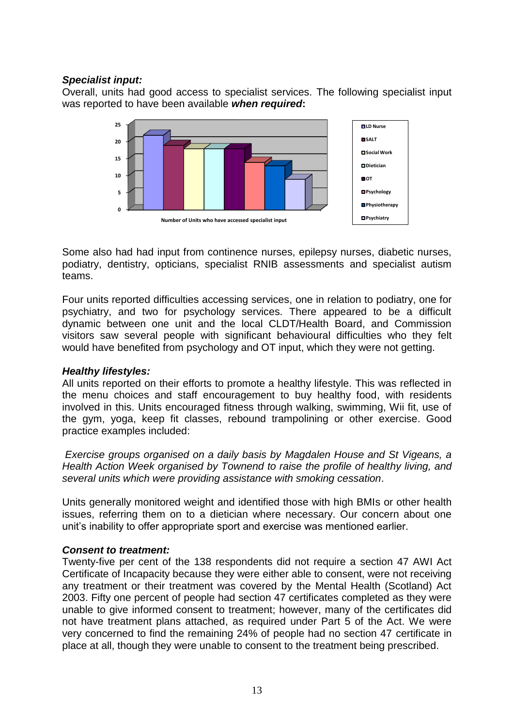## *Specialist input:*

Overall, units had good access to specialist services. The following specialist input was reported to have been available *when required***:**



Some also had had input from continence nurses, epilepsy nurses, diabetic nurses, podiatry, dentistry, opticians, specialist RNIB assessments and specialist autism teams.

Four units reported difficulties accessing services, one in relation to podiatry, one for psychiatry, and two for psychology services. There appeared to be a difficult dynamic between one unit and the local CLDT/Health Board, and Commission visitors saw several people with significant behavioural difficulties who they felt would have benefited from psychology and OT input, which they were not getting.

## *Healthy lifestyles:*

All units reported on their efforts to promote a healthy lifestyle. This was reflected in the menu choices and staff encouragement to buy healthy food, with residents involved in this. Units encouraged fitness through walking, swimming, Wii fit, use of the gym, yoga, keep fit classes, rebound trampolining or other exercise. Good practice examples included:

*Exercise groups organised on a daily basis by Magdalen House and St Vigeans, a Health Action Week organised by Townend to raise the profile of healthy living, and several units which were providing assistance with smoking cessation*.

Units generally monitored weight and identified those with high BMIs or other health issues, referring them on to a dietician where necessary. Our concern about one unit"s inability to offer appropriate sport and exercise was mentioned earlier.

## *Consent to treatment:*

Twenty-five per cent of the 138 respondents did not require a section 47 AWI Act Certificate of Incapacity because they were either able to consent, were not receiving any treatment or their treatment was covered by the Mental Health (Scotland) Act 2003. Fifty one percent of people had section 47 certificates completed as they were unable to give informed consent to treatment; however, many of the certificates did not have treatment plans attached, as required under Part 5 of the Act. We were very concerned to find the remaining 24% of people had no section 47 certificate in place at all, though they were unable to consent to the treatment being prescribed.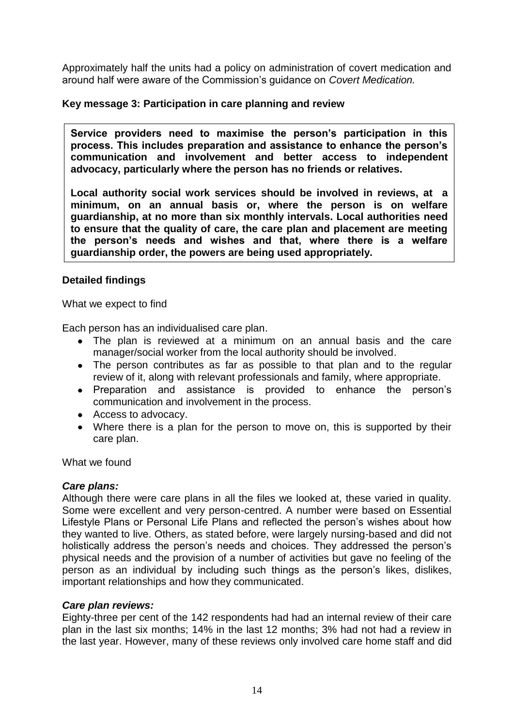Approximately half the units had a policy on administration of covert medication and around half were aware of the Commission"s guidance on *Covert Medication.*

## **Key message 3: Participation in care planning and review**

**Service providers need to maximise the person"s participation in this process. This includes preparation and assistance to enhance the person"s communication and involvement and better access to independent advocacy, particularly where the person has no friends or relatives.** 

**Local authority social work services should be involved in reviews, at a minimum, on an annual basis or, where the person is on welfare guardianship, at no more than six monthly intervals. Local authorities need to ensure that the quality of care, the care plan and placement are meeting the person"s needs and wishes and that, where there is a welfare guardianship order, the powers are being used appropriately.** 

## **Detailed findings**

What we expect to find

Each person has an individualised care plan.

- The plan is reviewed at a minimum on an annual basis and the care manager/social worker from the local authority should be involved.
- The person contributes as far as possible to that plan and to the regular review of it, along with relevant professionals and family, where appropriate.
- Preparation and assistance is provided to enhance the person's communication and involvement in the process.
- Access to advocacy.
- Where there is a plan for the person to move on, this is supported by their care plan.

What we found

## *Care plans:*

Although there were care plans in all the files we looked at, these varied in quality. Some were excellent and very person-centred. A number were based on Essential Lifestyle Plans or Personal Life Plans and reflected the person"s wishes about how they wanted to live. Others, as stated before, were largely nursing-based and did not holistically address the person's needs and choices. They addressed the person's physical needs and the provision of a number of activities but gave no feeling of the person as an individual by including such things as the person"s likes, dislikes, important relationships and how they communicated.

## *Care plan reviews:*

Eighty-three per cent of the 142 respondents had had an internal review of their care plan in the last six months; 14% in the last 12 months; 3% had not had a review in the last year. However, many of these reviews only involved care home staff and did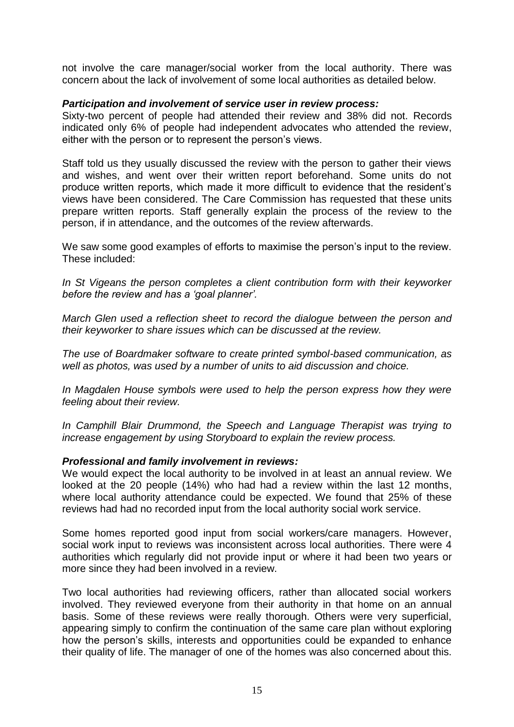not involve the care manager/social worker from the local authority. There was concern about the lack of involvement of some local authorities as detailed below.

#### *Participation and involvement of service user in review process:*

Sixty-two percent of people had attended their review and 38% did not. Records indicated only 6% of people had independent advocates who attended the review, either with the person or to represent the person"s views.

Staff told us they usually discussed the review with the person to gather their views and wishes, and went over their written report beforehand. Some units do not produce written reports, which made it more difficult to evidence that the resident"s views have been considered. The Care Commission has requested that these units prepare written reports. Staff generally explain the process of the review to the person, if in attendance, and the outcomes of the review afterwards.

We saw some good examples of efforts to maximise the person's input to the review. These included:

*In St Vigeans the person completes a client contribution form with their keyworker before the review and has a 'goal planner'.*

*March Glen used a reflection sheet to record the dialogue between the person and their keyworker to share issues which can be discussed at the review.*

*The use of Boardmaker software to create printed symbol-based communication, as well as photos, was used by a number of units to aid discussion and choice.*

In Magdalen House symbols were used to help the person express how they were *feeling about their review.*

*In Camphill Blair Drummond, the Speech and Language Therapist was trying to increase engagement by using Storyboard to explain the review process.*

## *Professional and family involvement in reviews:*

We would expect the local authority to be involved in at least an annual review. We looked at the 20 people (14%) who had had a review within the last 12 months, where local authority attendance could be expected. We found that 25% of these reviews had had no recorded input from the local authority social work service.

Some homes reported good input from social workers/care managers. However, social work input to reviews was inconsistent across local authorities. There were 4 authorities which regularly did not provide input or where it had been two years or more since they had been involved in a review.

Two local authorities had reviewing officers, rather than allocated social workers involved. They reviewed everyone from their authority in that home on an annual basis. Some of these reviews were really thorough. Others were very superficial, appearing simply to confirm the continuation of the same care plan without exploring how the person's skills, interests and opportunities could be expanded to enhance their quality of life. The manager of one of the homes was also concerned about this.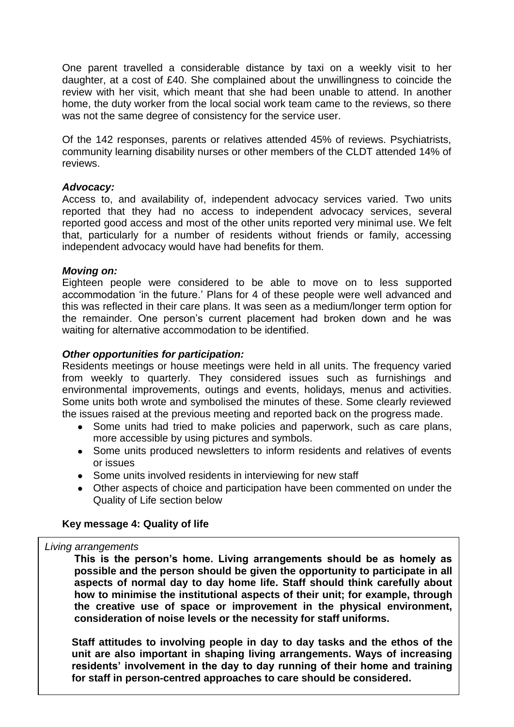One parent travelled a considerable distance by taxi on a weekly visit to her daughter, at a cost of £40. She complained about the unwillingness to coincide the review with her visit, which meant that she had been unable to attend. In another home, the duty worker from the local social work team came to the reviews, so there was not the same degree of consistency for the service user.

Of the 142 responses, parents or relatives attended 45% of reviews. Psychiatrists, community learning disability nurses or other members of the CLDT attended 14% of reviews.

#### *Advocacy:*

Access to, and availability of, independent advocacy services varied. Two units reported that they had no access to independent advocacy services, several reported good access and most of the other units reported very minimal use. We felt that, particularly for a number of residents without friends or family, accessing independent advocacy would have had benefits for them.

#### *Moving on:*

Eighteen people were considered to be able to move on to less supported accommodation "in the future." Plans for 4 of these people were well advanced and this was reflected in their care plans. It was seen as a medium/longer term option for the remainder. One person"s current placement had broken down and he was waiting for alternative accommodation to be identified.

#### *Other opportunities for participation:*

Residents meetings or house meetings were held in all units. The frequency varied from weekly to quarterly. They considered issues such as furnishings and environmental improvements, outings and events, holidays, menus and activities. Some units both wrote and symbolised the minutes of these. Some clearly reviewed the issues raised at the previous meeting and reported back on the progress made.

- Some units had tried to make policies and paperwork, such as care plans, more accessible by using pictures and symbols.
- Some units produced newsletters to inform residents and relatives of events or issues
- Some units involved residents in interviewing for new staff
- Other aspects of choice and participation have been commented on under the Quality of Life section below

## **Key message 4: Quality of life**

#### *Living arrangements*

**This is the person"s home. Living arrangements should be as homely as possible and the person should be given the opportunity to participate in all aspects of normal day to day home life. Staff should think carefully about how to minimise the institutional aspects of their unit; for example, through the creative use of space or improvement in the physical environment, consideration of noise levels or the necessity for staff uniforms.** 

**Staff attitudes to involving people in day to day tasks and the ethos of the unit are also important in shaping living arrangements. Ways of increasing residents" involvement in the day to day running of their home and training for staff in person-centred approaches to care should be considered.**

16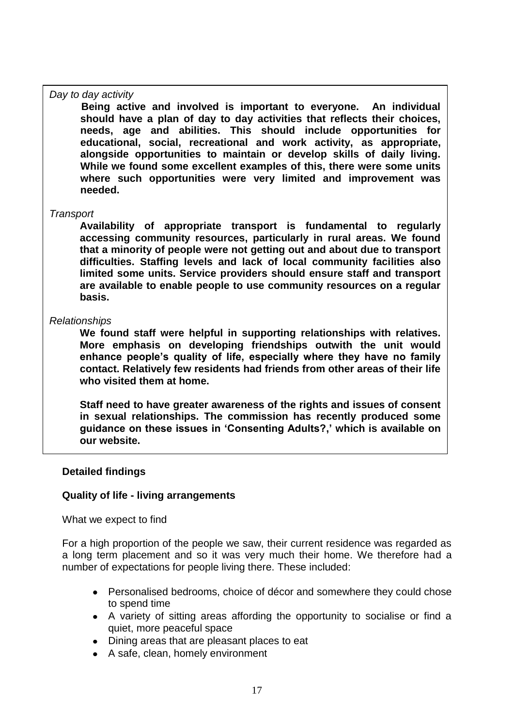#### *Day to day activity*

**Being active and involved is important to everyone. An individual should have a plan of day to day activities that reflects their choices, needs, age and abilities. This should include opportunities for educational, social, recreational and work activity, as appropriate, alongside opportunities to maintain or develop skills of daily living. While we found some excellent examples of this, there were some units where such opportunities were very limited and improvement was needed.** 

#### *Transport*

**Availability of appropriate transport is fundamental to regularly accessing community resources, particularly in rural areas. We found that a minority of people were not getting out and about due to transport difficulties. Staffing levels and lack of local community facilities also limited some units. Service providers should ensure staff and transport are available to enable people to use community resources on a regular basis.**

#### *Relationships*

**We found staff were helpful in supporting relationships with relatives. More emphasis on developing friendships outwith the unit would enhance people"s quality of life, especially where they have no family contact. Relatively few residents had friends from other areas of their life who visited them at home.** 

**Staff need to have greater awareness of the rights and issues of consent in sexual relationships. The commission has recently produced some guidance on these issues in "Consenting Adults?," which is available on our website.**

#### **Detailed findings**

#### **Quality of life - living arrangements**

What we expect to find

For a high proportion of the people we saw, their current residence was regarded as a long term placement and so it was very much their home. We therefore had a number of expectations for people living there. These included:

- Personalised bedrooms, choice of décor and somewhere they could chose to spend time
- A variety of sitting areas affording the opportunity to socialise or find a quiet, more peaceful space
- Dining areas that are pleasant places to eat
- A safe, clean, homely environment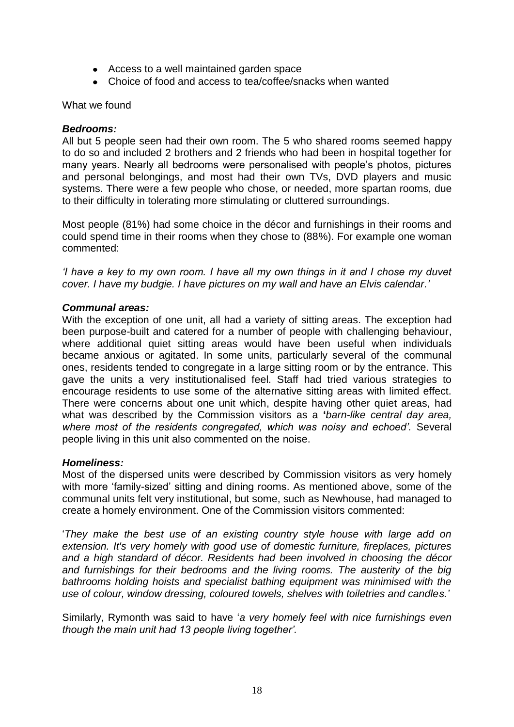- Access to a well maintained garden space
- Choice of food and access to tea/coffee/snacks when wanted

#### What we found

#### *Bedrooms:*

All but 5 people seen had their own room. The 5 who shared rooms seemed happy to do so and included 2 brothers and 2 friends who had been in hospital together for many years. Nearly all bedrooms were personalised with people"s photos, pictures and personal belongings, and most had their own TVs, DVD players and music systems. There were a few people who chose, or needed, more spartan rooms, due to their difficulty in tolerating more stimulating or cluttered surroundings.

Most people (81%) had some choice in the décor and furnishings in their rooms and could spend time in their rooms when they chose to (88%). For example one woman commented:

*'I have a key to my own room. I have all my own things in it and I chose my duvet cover. I have my budgie. I have pictures on my wall and have an Elvis calendar.'*

#### *Communal areas:*

With the exception of one unit, all had a variety of sitting areas. The exception had been purpose-built and catered for a number of people with challenging behaviour, where additional quiet sitting areas would have been useful when individuals became anxious or agitated. In some units, particularly several of the communal ones, residents tended to congregate in a large sitting room or by the entrance. This gave the units a very institutionalised feel. Staff had tried various strategies to encourage residents to use some of the alternative sitting areas with limited effect. There were concerns about one unit which, despite having other quiet areas, had what was described by the Commission visitors as a **"***barn-like central day area, where most of the residents congregated, which was noisy and echoed'.* Several people living in this unit also commented on the noise.

## *Homeliness:*

Most of the dispersed units were described by Commission visitors as very homely with more 'family-sized' sitting and dining rooms. As mentioned above, some of the communal units felt very institutional, but some, such as Newhouse, had managed to create a homely environment. One of the Commission visitors commented:

"*They make the best use of an existing country style house with large add on extension. It's very homely with good use of domestic furniture, fireplaces, pictures and a high standard of décor. Residents had been involved in choosing the décor*  and furnishings for their bedrooms and the living rooms. The austerity of the big *bathrooms holding hoists and specialist bathing equipment was minimised with the use of colour, window dressing, coloured towels, shelves with toiletries and candles.'*

Similarly, Rymonth was said to have "*a very homely feel with nice furnishings even though the main unit had 13 people living together'.*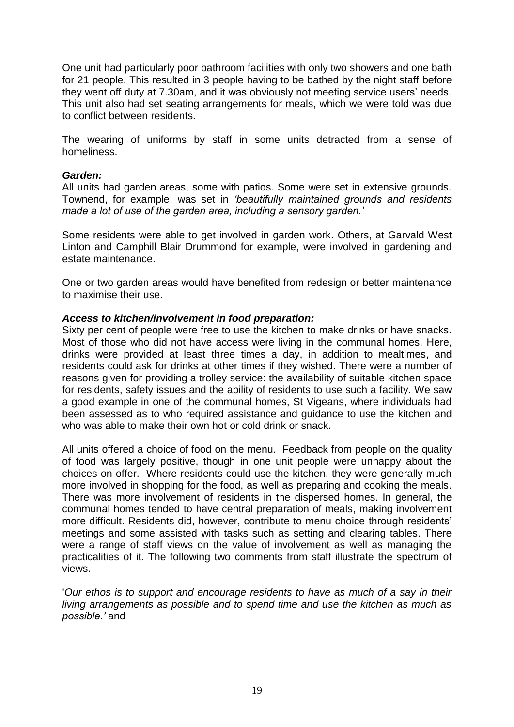One unit had particularly poor bathroom facilities with only two showers and one bath for 21 people. This resulted in 3 people having to be bathed by the night staff before they went off duty at 7.30am, and it was obviously not meeting service users' needs. This unit also had set seating arrangements for meals, which we were told was due to conflict between residents.

The wearing of uniforms by staff in some units detracted from a sense of homeliness.

#### *Garden:*

All units had garden areas, some with patios. Some were set in extensive grounds. Townend, for example, was set in *'beautifully maintained grounds and residents made a lot of use of the garden area, including a sensory garden.'*

Some residents were able to get involved in garden work. Others, at Garvald West Linton and Camphill Blair Drummond for example, were involved in gardening and estate maintenance.

One or two garden areas would have benefited from redesign or better maintenance to maximise their use.

#### *Access to kitchen/involvement in food preparation:*

Sixty per cent of people were free to use the kitchen to make drinks or have snacks. Most of those who did not have access were living in the communal homes. Here, drinks were provided at least three times a day, in addition to mealtimes, and residents could ask for drinks at other times if they wished. There were a number of reasons given for providing a trolley service: the availability of suitable kitchen space for residents, safety issues and the ability of residents to use such a facility. We saw a good example in one of the communal homes, St Vigeans, where individuals had been assessed as to who required assistance and guidance to use the kitchen and who was able to make their own hot or cold drink or snack.

All units offered a choice of food on the menu. Feedback from people on the quality of food was largely positive, though in one unit people were unhappy about the choices on offer. Where residents could use the kitchen, they were generally much more involved in shopping for the food, as well as preparing and cooking the meals. There was more involvement of residents in the dispersed homes. In general, the communal homes tended to have central preparation of meals, making involvement more difficult. Residents did, however, contribute to menu choice through residents" meetings and some assisted with tasks such as setting and clearing tables. There were a range of staff views on the value of involvement as well as managing the practicalities of it. The following two comments from staff illustrate the spectrum of views.

"*Our ethos is to support and encourage residents to have as much of a say in their living arrangements as possible and to spend time and use the kitchen as much as possible.'* and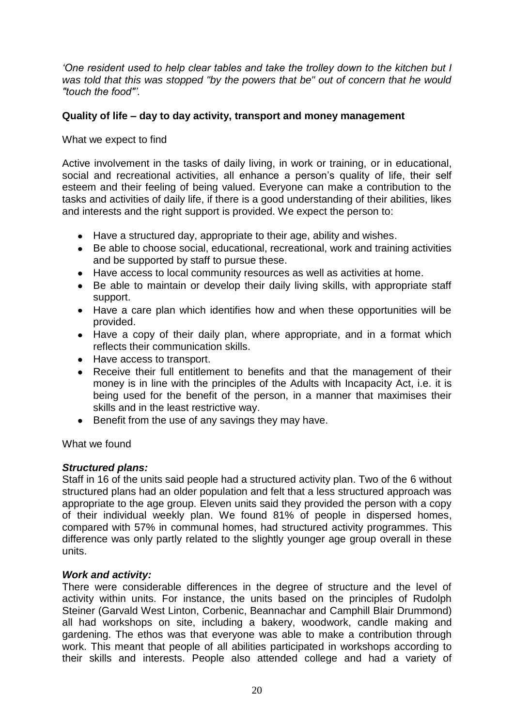*'One resident used to help clear tables and take the trolley down to the kitchen but I was told that this was stopped "by the powers that be" out of concern that he would "touch the food"'.*

## **Quality of life – day to day activity, transport and money management**

<span id="page-19-0"></span>What we expect to find

Active involvement in the tasks of daily living, in work or training, or in educational, social and recreational activities, all enhance a person's quality of life, their self esteem and their feeling of being valued. Everyone can make a contribution to the tasks and activities of daily life, if there is a good understanding of their abilities, likes and interests and the right support is provided. We expect the person to:

- Have a structured day, appropriate to their age, ability and wishes.
- Be able to choose social, educational, recreational, work and training activities and be supported by staff to pursue these.
- Have access to local community resources as well as activities at home.  $\bullet$
- Be able to maintain or develop their daily living skills, with appropriate staff support.
- Have a care plan which identifies how and when these opportunities will be provided.
- Have a copy of their daily plan, where appropriate, and in a format which reflects their communication skills.
- Have access to transport.
- Receive their full entitlement to benefits and that the management of their  $\bullet$ money is in line with the principles of the Adults with Incapacity Act, i.e. it is being used for the benefit of the person, in a manner that maximises their skills and in the least restrictive way.
- **Benefit from the use of any savings they may have.**

<span id="page-19-1"></span>What we found

## *Structured plans:*

Staff in 16 of the units said people had a structured activity plan. Two of the 6 without structured plans had an older population and felt that a less structured approach was appropriate to the age group. Eleven units said they provided the person with a copy of their individual weekly plan. We found 81% of people in dispersed homes, compared with 57% in communal homes, had structured activity programmes. This difference was only partly related to the slightly younger age group overall in these units.

## *Work and activity:*

There were considerable differences in the degree of structure and the level of activity within units. For instance, the units based on the principles of Rudolph Steiner (Garvald West Linton, Corbenic, Beannachar and Camphill Blair Drummond) all had workshops on site, including a bakery, woodwork, candle making and gardening. The ethos was that everyone was able to make a contribution through work. This meant that people of all abilities participated in workshops according to their skills and interests. People also attended college and had a variety of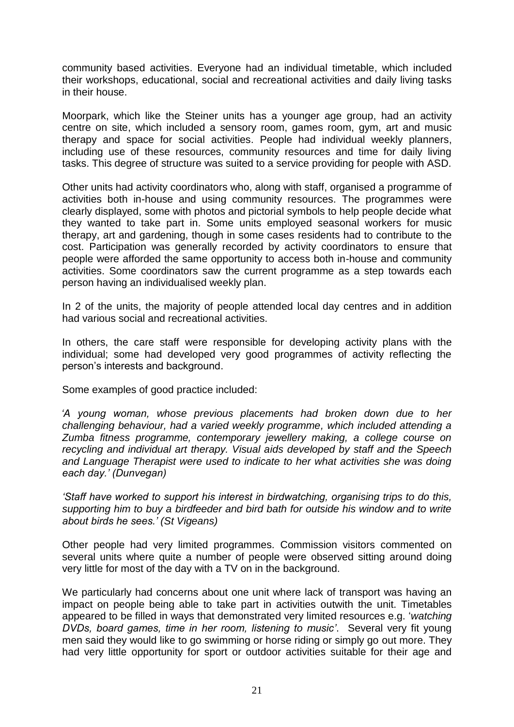community based activities. Everyone had an individual timetable, which included their workshops, educational, social and recreational activities and daily living tasks in their house.

Moorpark, which like the Steiner units has a younger age group, had an activity centre on site, which included a sensory room, games room, gym, art and music therapy and space for social activities. People had individual weekly planners, including use of these resources, community resources and time for daily living tasks. This degree of structure was suited to a service providing for people with ASD.

Other units had activity coordinators who, along with staff, organised a programme of activities both in-house and using community resources. The programmes were clearly displayed, some with photos and pictorial symbols to help people decide what they wanted to take part in. Some units employed seasonal workers for music therapy, art and gardening, though in some cases residents had to contribute to the cost. Participation was generally recorded by activity coordinators to ensure that people were afforded the same opportunity to access both in-house and community activities. Some coordinators saw the current programme as a step towards each person having an individualised weekly plan.

In 2 of the units, the majority of people attended local day centres and in addition had various social and recreational activities.

In others, the care staff were responsible for developing activity plans with the individual; some had developed very good programmes of activity reflecting the person"s interests and background.

Some examples of good practice included:

*'A young woman, whose previous placements had broken down due to her challenging behaviour, had a varied weekly programme, which included attending a Zumba fitness programme, contemporary jewellery making, a college course on recycling and individual art therapy. Visual aids developed by staff and the Speech and Language Therapist were used to indicate to her what activities she was doing each day.' (Dunvegan)*

*'Staff have worked to support his interest in birdwatching, organising trips to do this, supporting him to buy a birdfeeder and bird bath for outside his window and to write about birds he sees.' (St Vigeans)*

Other people had very limited programmes. Commission visitors commented on several units where quite a number of people were observed sitting around doing very little for most of the day with a TV on in the background.

We particularly had concerns about one unit where lack of transport was having an impact on people being able to take part in activities outwith the unit. Timetables appeared to be filled in ways that demonstrated very limited resources e.g. "*watching DVDs, board games, time in her room, listening to music'*. Several very fit young men said they would like to go swimming or horse riding or simply go out more. They had very little opportunity for sport or outdoor activities suitable for their age and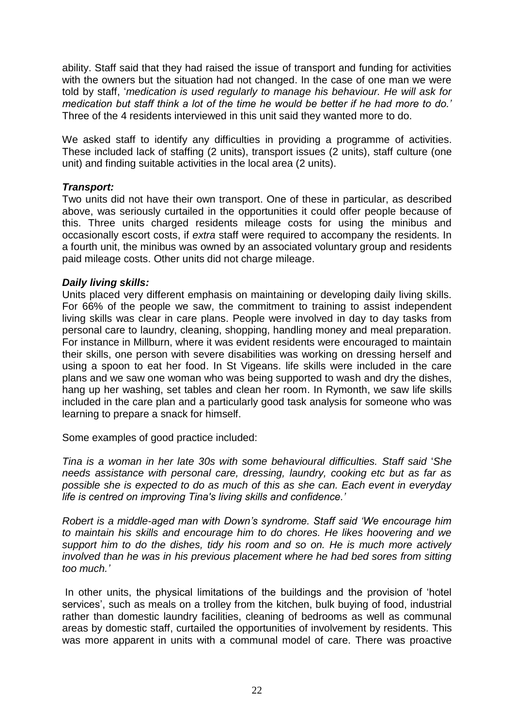ability. Staff said that they had raised the issue of transport and funding for activities with the owners but the situation had not changed. In the case of one man we were told by staff, "*medication is used regularly to manage his behaviour. He will ask for medication but staff think a lot of the time he would be better if he had more to do.'*  Three of the 4 residents interviewed in this unit said they wanted more to do.

We asked staff to identify any difficulties in providing a programme of activities. These included lack of staffing (2 units), transport issues (2 units), staff culture (one unit) and finding suitable activities in the local area (2 units).

## *Transport:*

Two units did not have their own transport. One of these in particular, as described above, was seriously curtailed in the opportunities it could offer people because of this. Three units charged residents mileage costs for using the minibus and occasionally escort costs, if *extra* staff were required to accompany the residents. In a fourth unit, the minibus was owned by an associated voluntary group and residents paid mileage costs. Other units did not charge mileage.

## *Daily living skills:*

Units placed very different emphasis on maintaining or developing daily living skills. For 66% of the people we saw, the commitment to training to assist independent living skills was clear in care plans. People were involved in day to day tasks from personal care to laundry, cleaning, shopping, handling money and meal preparation. For instance in Millburn, where it was evident residents were encouraged to maintain their skills, one person with severe disabilities was working on dressing herself and using a spoon to eat her food. In St Vigeans. life skills were included in the care plans and we saw one woman who was being supported to wash and dry the dishes, hang up her washing, set tables and clean her room. In Rymonth, we saw life skills included in the care plan and a particularly good task analysis for someone who was learning to prepare a snack for himself.

Some examples of good practice included:

*Tina is a woman in her late 30s with some behavioural difficulties. Staff said* "*She needs assistance with personal care, dressing, laundry, cooking etc but as far as possible she is expected to do as much of this as she can. Each event in everyday life is centred on improving Tina's living skills and confidence.'*

*Robert is a middle-aged man with Down's syndrome. Staff said 'We encourage him to maintain his skills and encourage him to do chores. He likes hoovering and we support him to do the dishes, tidy his room and so on. He is much more actively involved than he was in his previous placement where he had bed sores from sitting too much.'*

In other units, the physical limitations of the buildings and the provision of "hotel services', such as meals on a trolley from the kitchen, bulk buying of food, industrial rather than domestic laundry facilities, cleaning of bedrooms as well as communal areas by domestic staff, curtailed the opportunities of involvement by residents. This was more apparent in units with a communal model of care. There was proactive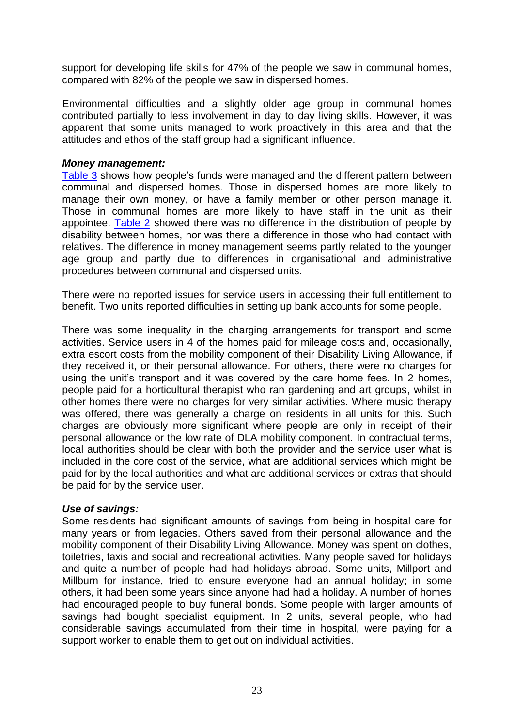support for developing life skills for 47% of the people we saw in communal homes, compared with 82% of the people we saw in dispersed homes.

Environmental difficulties and a slightly older age group in communal homes contributed partially to less involvement in day to day living skills. However, it was apparent that some units managed to work proactively in this area and that the attitudes and ethos of the staff group had a significant influence.

#### *Money management:*

[Table 3](#page-27-2) shows how people"s funds were managed and the different pattern between communal and dispersed homes. Those in dispersed homes are more likely to manage their own money, or have a family member or other person manage it. Those in communal homes are more likely to have staff in the unit as their appointee. [Table 2](#page-27-1) showed there was no difference in the distribution of people by disability between homes, nor was there a difference in those who had contact with relatives. The difference in money management seems partly related to the younger age group and partly due to differences in organisational and administrative procedures between communal and dispersed units.

There were no reported issues for service users in accessing their full entitlement to benefit. Two units reported difficulties in setting up bank accounts for some people.

There was some inequality in the charging arrangements for transport and some activities. Service users in 4 of the homes paid for mileage costs and, occasionally, extra escort costs from the mobility component of their Disability Living Allowance, if they received it, or their personal allowance. For others, there were no charges for using the unit's transport and it was covered by the care home fees. In 2 homes, people paid for a horticultural therapist who ran gardening and art groups, whilst in other homes there were no charges for very similar activities. Where music therapy was offered, there was generally a charge on residents in all units for this. Such charges are obviously more significant where people are only in receipt of their personal allowance or the low rate of DLA mobility component. In contractual terms, local authorities should be clear with both the provider and the service user what is included in the core cost of the service, what are additional services which might be paid for by the local authorities and what are additional services or extras that should be paid for by the service user.

## *Use of savings:*

Some residents had significant amounts of savings from being in hospital care for many years or from legacies. Others saved from their personal allowance and the mobility component of their Disability Living Allowance. Money was spent on clothes, toiletries, taxis and social and recreational activities. Many people saved for holidays and quite a number of people had had holidays abroad. Some units, Millport and Millburn for instance, tried to ensure everyone had an annual holiday; in some others, it had been some years since anyone had had a holiday. A number of homes had encouraged people to buy funeral bonds. Some people with larger amounts of savings had bought specialist equipment. In 2 units, several people, who had considerable savings accumulated from their time in hospital, were paying for a support worker to enable them to get out on individual activities.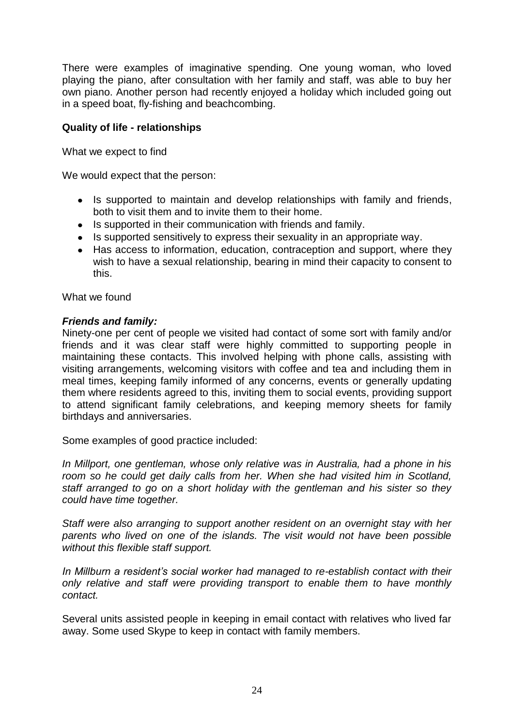There were examples of imaginative spending. One young woman, who loved playing the piano, after consultation with her family and staff, was able to buy her own piano. Another person had recently enjoyed a holiday which included going out in a speed boat, fly-fishing and beachcombing.

## **Quality of life - relationships**

What we expect to find

We would expect that the person:

- Is supported to maintain and develop relationships with family and friends, both to visit them and to invite them to their home.
- Is supported in their communication with friends and family.
- Is supported sensitively to express their sexuality in an appropriate way.
- Has access to information, education, contraception and support, where they  $\bullet$ wish to have a sexual relationship, bearing in mind their capacity to consent to this.

What we found

## *Friends and family:*

Ninety-one per cent of people we visited had contact of some sort with family and/or friends and it was clear staff were highly committed to supporting people in maintaining these contacts. This involved helping with phone calls, assisting with visiting arrangements, welcoming visitors with coffee and tea and including them in meal times, keeping family informed of any concerns, events or generally updating them where residents agreed to this, inviting them to social events, providing support to attend significant family celebrations, and keeping memory sheets for family birthdays and anniversaries.

Some examples of good practice included:

*In Millport, one gentleman, whose only relative was in Australia, had a phone in his room so he could get daily calls from her. When she had visited him in Scotland, staff arranged to go on a short holiday with the gentleman and his sister so they could have time together.* 

*Staff were also arranging to support another resident on an overnight stay with her parents who lived on one of the islands. The visit would not have been possible without this flexible staff support.* 

*In Millburn a resident's social worker had managed to re-establish contact with their only relative and staff were providing transport to enable them to have monthly contact.*

Several units assisted people in keeping in email contact with relatives who lived far away. Some used Skype to keep in contact with family members.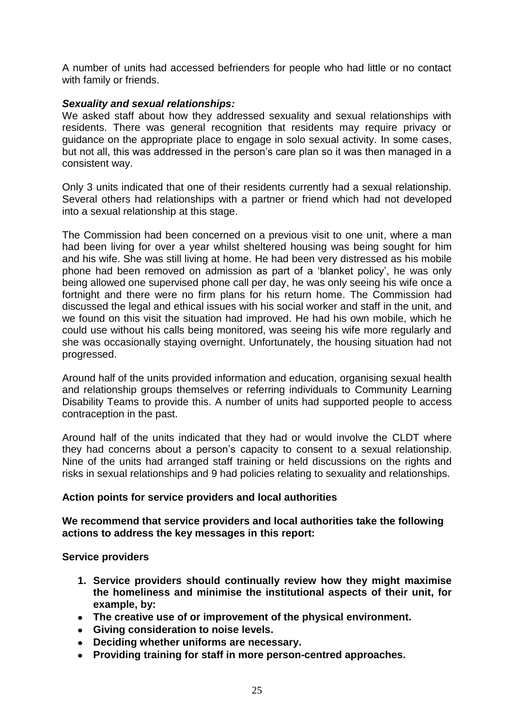A number of units had accessed befrienders for people who had little or no contact with family or friends.

## *Sexuality and sexual relationships:*

We asked staff about how they addressed sexuality and sexual relationships with residents. There was general recognition that residents may require privacy or guidance on the appropriate place to engage in solo sexual activity. In some cases, but not all, this was addressed in the person"s care plan so it was then managed in a consistent way.

Only 3 units indicated that one of their residents currently had a sexual relationship. Several others had relationships with a partner or friend which had not developed into a sexual relationship at this stage.

The Commission had been concerned on a previous visit to one unit, where a man had been living for over a year whilst sheltered housing was being sought for him and his wife. She was still living at home. He had been very distressed as his mobile phone had been removed on admission as part of a "blanket policy", he was only being allowed one supervised phone call per day, he was only seeing his wife once a fortnight and there were no firm plans for his return home. The Commission had discussed the legal and ethical issues with his social worker and staff in the unit, and we found on this visit the situation had improved. He had his own mobile, which he could use without his calls being monitored, was seeing his wife more regularly and she was occasionally staying overnight. Unfortunately, the housing situation had not progressed.

Around half of the units provided information and education, organising sexual health and relationship groups themselves or referring individuals to Community Learning Disability Teams to provide this. A number of units had supported people to access contraception in the past.

Around half of the units indicated that they had or would involve the CLDT where they had concerns about a person's capacity to consent to a sexual relationship. Nine of the units had arranged staff training or held discussions on the rights and risks in sexual relationships and 9 had policies relating to sexuality and relationships.

## **Action points for service providers and local authorities**

## **We recommend that service providers and local authorities take the following actions to address the key messages in this report:**

**Service providers**

- **1. Service providers should continually review how they might maximise the homeliness and minimise the institutional aspects of their unit, for example, by:**
- **The creative use of or improvement of the physical environment.**
- **Giving consideration to noise levels.**
- **Deciding whether uniforms are necessary.**
- **Providing training for staff in more person-centred approaches.**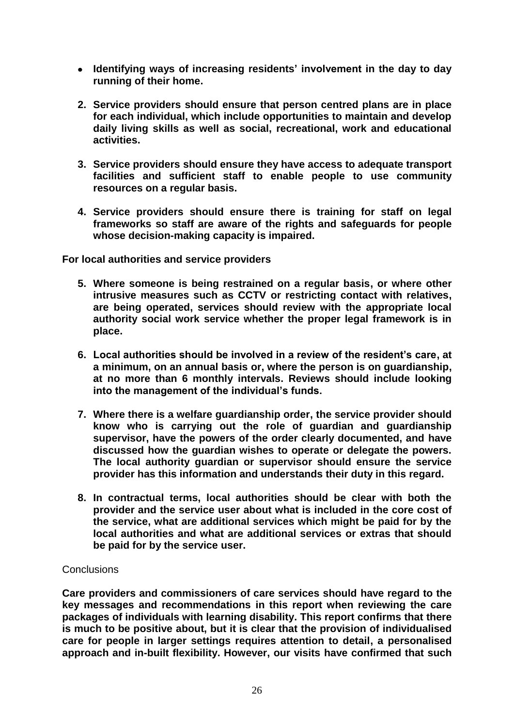- **Identifying ways of increasing residents" involvement in the day to day running of their home.**
- **2. Service providers should ensure that person centred plans are in place for each individual, which include opportunities to maintain and develop daily living skills as well as social, recreational, work and educational activities.**
- **3. Service providers should ensure they have access to adequate transport facilities and sufficient staff to enable people to use community resources on a regular basis.**
- **4. Service providers should ensure there is training for staff on legal frameworks so staff are aware of the rights and safeguards for people whose decision-making capacity is impaired.**

**For local authorities and service providers**

- **5. Where someone is being restrained on a regular basis, or where other intrusive measures such as CCTV or restricting contact with relatives, are being operated, services should review with the appropriate local authority social work service whether the proper legal framework is in place.**
- **6. Local authorities should be involved in a review of the resident"s care, at a minimum, on an annual basis or, where the person is on guardianship, at no more than 6 monthly intervals. Reviews should include looking into the management of the individual"s funds.**
- **7. Where there is a welfare guardianship order, the service provider should know who is carrying out the role of guardian and guardianship supervisor, have the powers of the order clearly documented, and have discussed how the guardian wishes to operate or delegate the powers. The local authority guardian or supervisor should ensure the service provider has this information and understands their duty in this regard.**
- **8. In contractual terms, local authorities should be clear with both the provider and the service user about what is included in the core cost of the service, what are additional services which might be paid for by the local authorities and what are additional services or extras that should be paid for by the service user.**

## **Conclusions**

**Care providers and commissioners of care services should have regard to the key messages and recommendations in this report when reviewing the care packages of individuals with learning disability. This report confirms that there is much to be positive about, but it is clear that the provision of individualised care for people in larger settings requires attention to detail, a personalised approach and in-built flexibility. However, our visits have confirmed that such**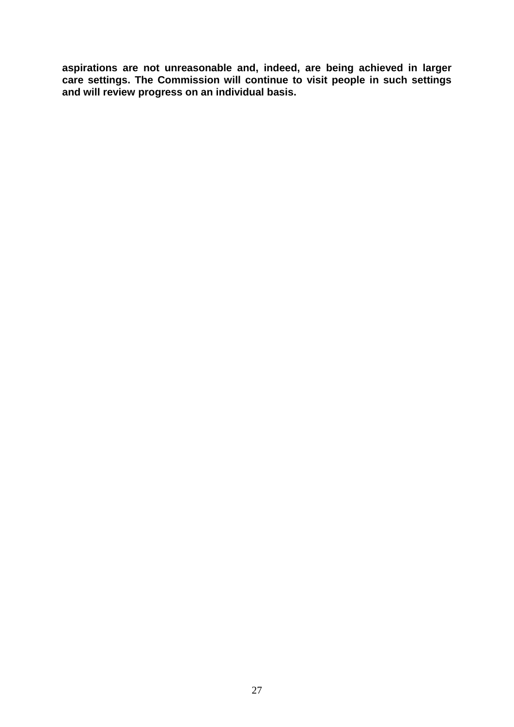**aspirations are not unreasonable and, indeed, are being achieved in larger care settings. The Commission will continue to visit people in such settings and will review progress on an individual basis.**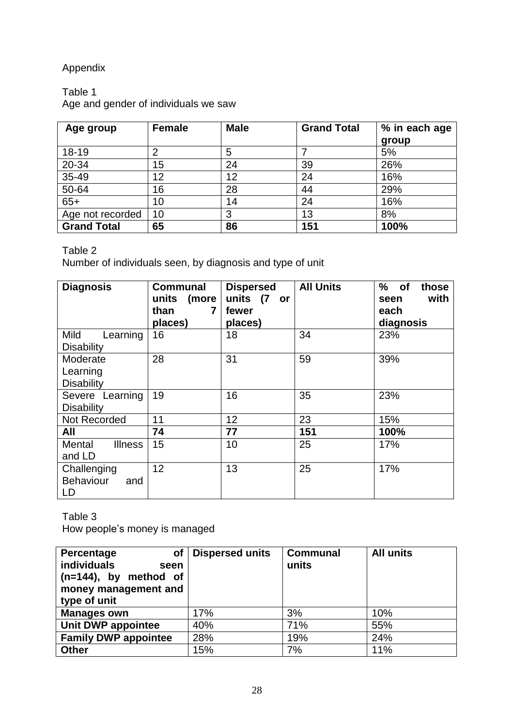## Appendix

## <span id="page-27-0"></span>Table 1

Age and gender of individuals we saw

| Age group          | <b>Female</b> | <b>Male</b> | <b>Grand Total</b> | % in each age<br>group |
|--------------------|---------------|-------------|--------------------|------------------------|
| 18-19              |               | 5           |                    | 5%                     |
| 20-34              | 15            | 24          | 39                 | 26%                    |
| $35 - 49$          | 12            | 12          | 24                 | 16%                    |
| $50 - 64$          | 16            | 28          | 44                 | 29%                    |
| $65+$              | 10            | 14          | 24                 | 16%                    |
| Age not recorded   | 10            | 3           | 13                 | 8%                     |
| <b>Grand Total</b> | 65            | 86          | 151                | 100%                   |

## <span id="page-27-1"></span>Table 2

Number of individuals seen, by diagnosis and type of unit

| <b>Diagnosis</b>         | <b>Communal</b><br>(more<br>units<br>than<br>7<br>places) | <b>Dispersed</b><br>units (7<br>or<br>fewer<br>places) | <b>All Units</b> | %<br>of<br>those<br>with<br>seen<br>each<br>diagnosis |
|--------------------------|-----------------------------------------------------------|--------------------------------------------------------|------------------|-------------------------------------------------------|
| Mild<br>Learning         | 16                                                        | 18                                                     | 34               | 23%                                                   |
| <b>Disability</b>        |                                                           |                                                        |                  |                                                       |
| Moderate                 | 28                                                        | 31                                                     | 59               | 39%                                                   |
| Learning                 |                                                           |                                                        |                  |                                                       |
| <b>Disability</b>        |                                                           |                                                        |                  |                                                       |
| Severe Learning          | 19                                                        | 16                                                     | 35               | 23%                                                   |
| <b>Disability</b>        |                                                           |                                                        |                  |                                                       |
| Not Recorded             | 11                                                        | 12                                                     | 23               | 15%                                                   |
| All                      | 74                                                        | 77                                                     | 151              | 100%                                                  |
| Mental<br><b>Illness</b> | 15                                                        | 10                                                     | 25               | 17%                                                   |
| and LD                   |                                                           |                                                        |                  |                                                       |
| Challenging              | 12                                                        | 13                                                     | 25               | 17%                                                   |
| <b>Behaviour</b><br>and  |                                                           |                                                        |                  |                                                       |
| LD                       |                                                           |                                                        |                  |                                                       |

<span id="page-27-2"></span>Table 3

How people"s money is managed

| of<br>Percentage<br><b>individuals</b><br>seen<br>$(n=144)$ , by method of<br>money management and<br>type of unit | <b>Dispersed units</b> | <b>Communal</b><br>units | <b>All units</b> |
|--------------------------------------------------------------------------------------------------------------------|------------------------|--------------------------|------------------|
| <b>Manages own</b>                                                                                                 | 17%                    | 3%                       | 10%              |
| Unit DWP appointee                                                                                                 | 40%                    | 71%                      | 55%              |
| <b>Family DWP appointee</b>                                                                                        | 28%                    | 19%                      | 24%              |
| <b>Other</b>                                                                                                       | 15%                    | 7%                       | 11%              |